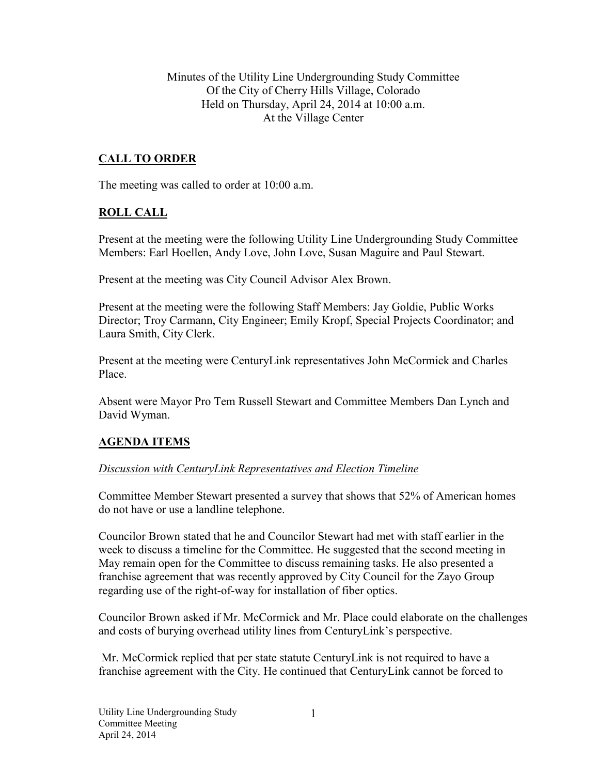Minutes of the Utility Line Undergrounding Study Committee Of the City of Cherry Hills Village, Colorado Held on Thursday, April 24, 2014 at 10:00 a.m. At the Village Center

## **CALL TO ORDER**

The meeting was called to order at 10:00 a.m.

### **ROLL CALL**

Present at the meeting were the following Utility Line Undergrounding Study Committee Members: Earl Hoellen, Andy Love, John Love, Susan Maguire and Paul Stewart.

Present at the meeting was City Council Advisor Alex Brown.

Present at the meeting were the following Staff Members: Jay Goldie, Public Works Director; Troy Carmann, City Engineer; Emily Kropf, Special Projects Coordinator; and Laura Smith, City Clerk.

Present at the meeting were CenturyLink representatives John McCormick and Charles Place.

Absent were Mayor Pro Tem Russell Stewart and Committee Members Dan Lynch and David Wyman.

### **AGENDA ITEMS**

#### *Discussion with CenturyLink Representatives and Election Timeline*

Committee Member Stewart presented a survey that shows that 52% of American homes do not have or use a landline telephone.

Councilor Brown stated that he and Councilor Stewart had met with staff earlier in the week to discuss a timeline for the Committee. He suggested that the second meeting in May remain open for the Committee to discuss remaining tasks. He also presented a franchise agreement that was recently approved by City Council for the Zayo Group regarding use of the right-of-way for installation of fiber optics.

Councilor Brown asked if Mr. McCormick and Mr. Place could elaborate on the challenges and costs of burying overhead utility lines from CenturyLink's perspective.

 Mr. McCormick replied that per state statute CenturyLink is not required to have a franchise agreement with the City. He continued that CenturyLink cannot be forced to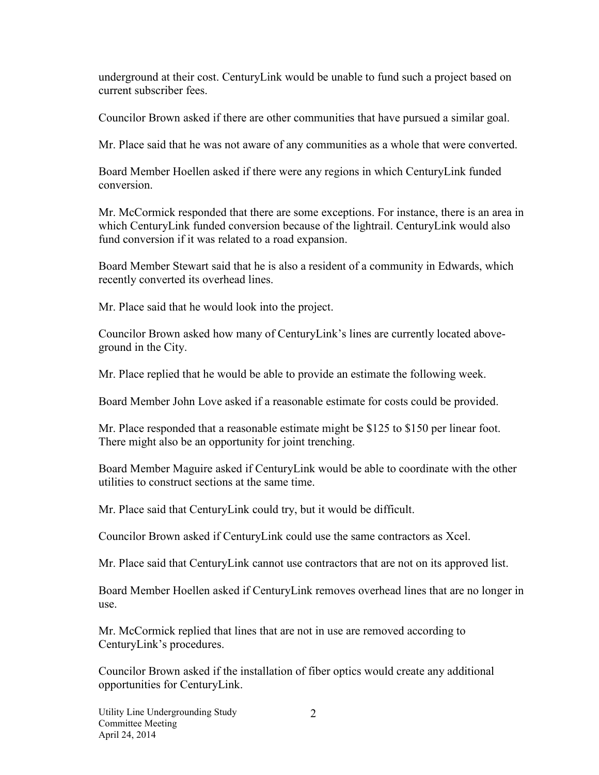underground at their cost. CenturyLink would be unable to fund such a project based on current subscriber fees.

Councilor Brown asked if there are other communities that have pursued a similar goal.

Mr. Place said that he was not aware of any communities as a whole that were converted.

Board Member Hoellen asked if there were any regions in which CenturyLink funded conversion.

Mr. McCormick responded that there are some exceptions. For instance, there is an area in which CenturyLink funded conversion because of the lightrail. CenturyLink would also fund conversion if it was related to a road expansion.

Board Member Stewart said that he is also a resident of a community in Edwards, which recently converted its overhead lines.

Mr. Place said that he would look into the project.

Councilor Brown asked how many of CenturyLink's lines are currently located aboveground in the City.

Mr. Place replied that he would be able to provide an estimate the following week.

Board Member John Love asked if a reasonable estimate for costs could be provided.

Mr. Place responded that a reasonable estimate might be \$125 to \$150 per linear foot. There might also be an opportunity for joint trenching.

Board Member Maguire asked if CenturyLink would be able to coordinate with the other utilities to construct sections at the same time.

Mr. Place said that CenturyLink could try, but it would be difficult.

Councilor Brown asked if CenturyLink could use the same contractors as Xcel.

Mr. Place said that CenturyLink cannot use contractors that are not on its approved list.

Board Member Hoellen asked if CenturyLink removes overhead lines that are no longer in use.

Mr. McCormick replied that lines that are not in use are removed according to CenturyLink's procedures.

Councilor Brown asked if the installation of fiber optics would create any additional opportunities for CenturyLink.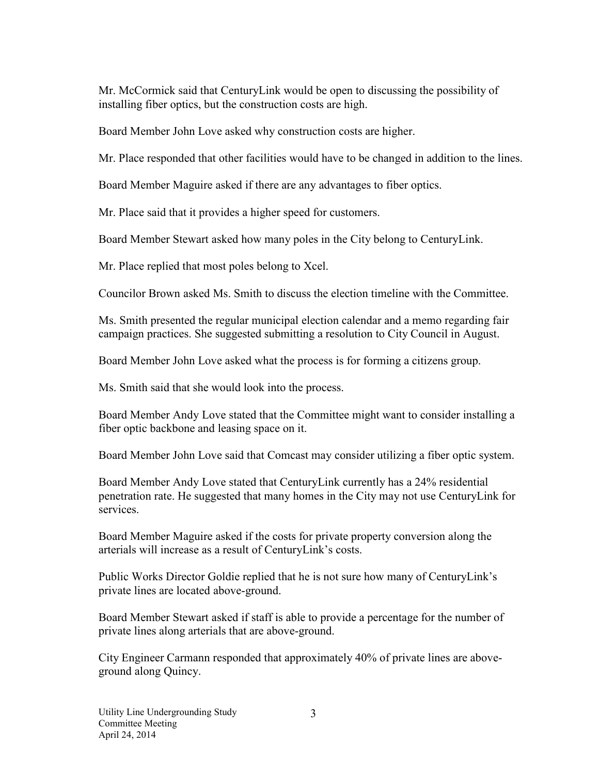Mr. McCormick said that CenturyLink would be open to discussing the possibility of installing fiber optics, but the construction costs are high.

Board Member John Love asked why construction costs are higher.

Mr. Place responded that other facilities would have to be changed in addition to the lines.

Board Member Maguire asked if there are any advantages to fiber optics.

Mr. Place said that it provides a higher speed for customers.

Board Member Stewart asked how many poles in the City belong to CenturyLink.

Mr. Place replied that most poles belong to Xcel.

Councilor Brown asked Ms. Smith to discuss the election timeline with the Committee.

Ms. Smith presented the regular municipal election calendar and a memo regarding fair campaign practices. She suggested submitting a resolution to City Council in August.

Board Member John Love asked what the process is for forming a citizens group.

Ms. Smith said that she would look into the process.

Board Member Andy Love stated that the Committee might want to consider installing a fiber optic backbone and leasing space on it.

Board Member John Love said that Comcast may consider utilizing a fiber optic system.

Board Member Andy Love stated that CenturyLink currently has a 24% residential penetration rate. He suggested that many homes in the City may not use CenturyLink for services.

Board Member Maguire asked if the costs for private property conversion along the arterials will increase as a result of CenturyLink's costs.

Public Works Director Goldie replied that he is not sure how many of CenturyLink's private lines are located above-ground.

Board Member Stewart asked if staff is able to provide a percentage for the number of private lines along arterials that are above-ground.

City Engineer Carmann responded that approximately 40% of private lines are aboveground along Quincy.